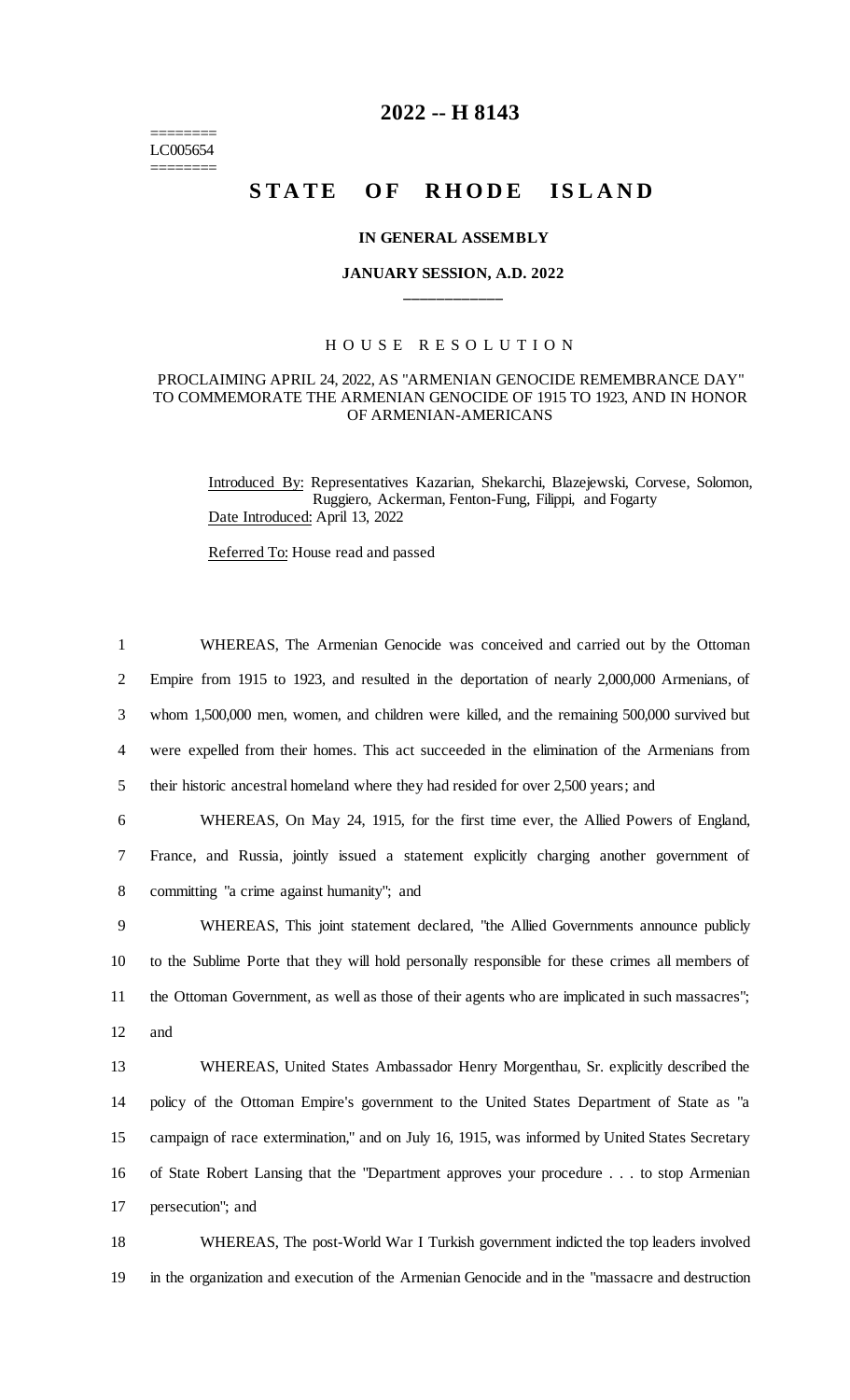======== LC005654 ========

# **2022 -- H 8143**

# **STATE OF RHODE ISLAND**

#### **IN GENERAL ASSEMBLY**

# **JANUARY SESSION, A.D. 2022 \_\_\_\_\_\_\_\_\_\_\_\_**

## H O U S E R E S O L U T I O N

### PROCLAIMING APRIL 24, 2022, AS "ARMENIAN GENOCIDE REMEMBRANCE DAY" TO COMMEMORATE THE ARMENIAN GENOCIDE OF 1915 TO 1923, AND IN HONOR OF ARMENIAN-AMERICANS

Introduced By: Representatives Kazarian, Shekarchi, Blazejewski, Corvese, Solomon, Ruggiero, Ackerman, Fenton-Fung, Filippi, and Fogarty Date Introduced: April 13, 2022

Referred To: House read and passed

 WHEREAS, The Armenian Genocide was conceived and carried out by the Ottoman Empire from 1915 to 1923, and resulted in the deportation of nearly 2,000,000 Armenians, of whom 1,500,000 men, women, and children were killed, and the remaining 500,000 survived but were expelled from their homes. This act succeeded in the elimination of the Armenians from their historic ancestral homeland where they had resided for over 2,500 years; and WHEREAS, On May 24, 1915, for the first time ever, the Allied Powers of England, France, and Russia, jointly issued a statement explicitly charging another government of committing "a crime against humanity"; and WHEREAS, This joint statement declared, "the Allied Governments announce publicly to the Sublime Porte that they will hold personally responsible for these crimes all members of the Ottoman Government, as well as those of their agents who are implicated in such massacres"; 12 and WHEREAS, United States Ambassador Henry Morgenthau, Sr. explicitly described the policy of the Ottoman Empire's government to the United States Department of State as "a campaign of race extermination," and on July 16, 1915, was informed by United States Secretary of State Robert Lansing that the "Department approves your procedure . . . to stop Armenian persecution"; and WHEREAS, The post-World War I Turkish government indicted the top leaders involved

19 in the organization and execution of the Armenian Genocide and in the "massacre and destruction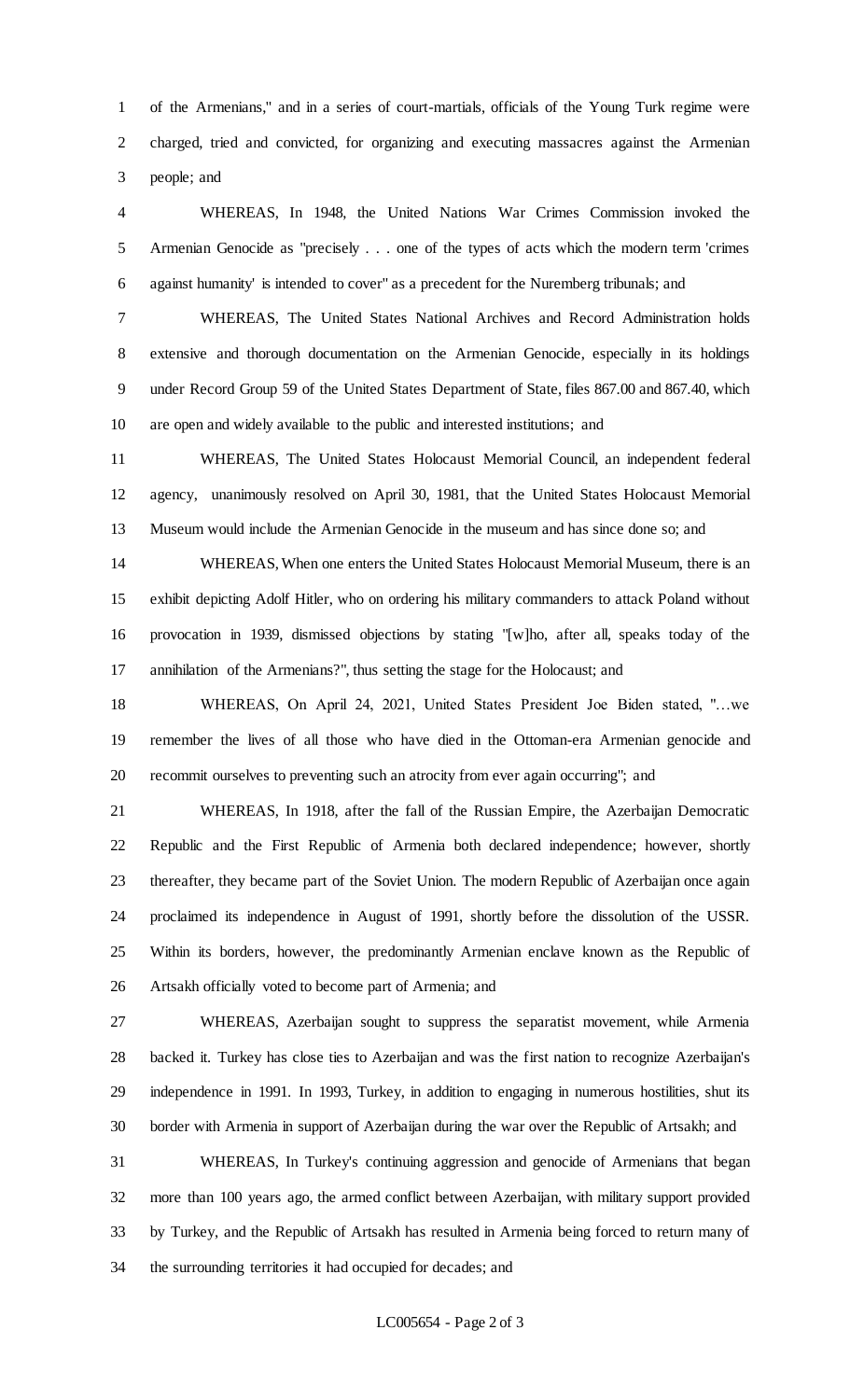of the Armenians," and in a series of court-martials, officials of the Young Turk regime were charged, tried and convicted, for organizing and executing massacres against the Armenian people; and

 WHEREAS, In 1948, the United Nations War Crimes Commission invoked the Armenian Genocide as "precisely . . . one of the types of acts which the modern term 'crimes against humanity' is intended to cover" as a precedent for the Nuremberg tribunals; and

 WHEREAS, The United States National Archives and Record Administration holds extensive and thorough documentation on the Armenian Genocide, especially in its holdings under Record Group 59 of the United States Department of State, files 867.00 and 867.40, which are open and widely available to the public and interested institutions; and

 WHEREAS, The United States Holocaust Memorial Council, an independent federal agency, unanimously resolved on April 30, 1981, that the United States Holocaust Memorial Museum would include the Armenian Genocide in the museum and has since done so; and

 WHEREAS, When one enters the United States Holocaust Memorial Museum, there is an exhibit depicting Adolf Hitler, who on ordering his military commanders to attack Poland without provocation in 1939, dismissed objections by stating "[w]ho, after all, speaks today of the annihilation of the Armenians?", thus setting the stage for the Holocaust; and

 WHEREAS, On April 24, 2021, United States President Joe Biden stated, "…we remember the lives of all those who have died in the Ottoman-era Armenian genocide and recommit ourselves to preventing such an atrocity from ever again occurring"; and

 WHEREAS, In 1918, after the fall of the Russian Empire, the Azerbaijan Democratic Republic and the First Republic of Armenia both declared independence; however, shortly thereafter, they became part of the Soviet Union. The modern Republic of Azerbaijan once again proclaimed its independence in August of 1991, shortly before the dissolution of the USSR. Within its borders, however, the predominantly Armenian enclave known as the Republic of Artsakh officially voted to become part of Armenia; and

 WHEREAS, Azerbaijan sought to suppress the separatist movement, while Armenia backed it. Turkey has close ties to Azerbaijan and was the first nation to recognize Azerbaijan's independence in 1991. In 1993, Turkey, in addition to engaging in numerous hostilities, shut its border with Armenia in support of Azerbaijan during the war over the Republic of Artsakh; and

 WHEREAS, In Turkey's continuing aggression and genocide of Armenians that began more than 100 years ago, the armed conflict between Azerbaijan, with military support provided by Turkey, and the Republic of Artsakh has resulted in Armenia being forced to return many of the surrounding territories it had occupied for decades; and